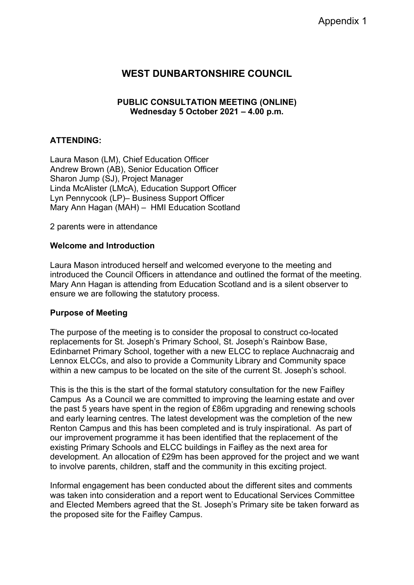# **WEST DUNBARTONSHIRE COUNCIL**

### **PUBLIC CONSULTATION MEETING (ONLINE) Wednesday 5 October 2021 – 4.00 p.m.**

### **ATTENDING:**

Laura Mason (LM), Chief Education Officer Andrew Brown (AB), Senior Education Officer Sharon Jump (SJ), Project Manager Linda McAlister (LMcA), Education Support Officer Lyn Pennycook (LP)– Business Support Officer Mary Ann Hagan (MAH) – HMI Education Scotland

2 parents were in attendance

### **Welcome and Introduction**

Laura Mason introduced herself and welcomed everyone to the meeting and introduced the Council Officers in attendance and outlined the format of the meeting. Mary Ann Hagan is attending from Education Scotland and is a silent observer to ensure we are following the statutory process.

### **Purpose of Meeting**

The purpose of the meeting is to consider the proposal to construct co-located replacements for St. Joseph's Primary School, St. Joseph's Rainbow Base, Edinbarnet Primary School, together with a new ELCC to replace Auchnacraig and Lennox ELCCs, and also to provide a Community Library and Community space within a new campus to be located on the site of the current St. Joseph's school.

This is the this is the start of the formal statutory consultation for the new Faifley Campus As a Council we are committed to improving the learning estate and over the past 5 years have spent in the region of £86m upgrading and renewing schools and early learning centres. The latest development was the completion of the new Renton Campus and this has been completed and is truly inspirational. As part of our improvement programme it has been identified that the replacement of the existing Primary Schools and ELCC buildings in Faifley as the next area for development. An allocation of £29m has been approved for the project and we want to involve parents, children, staff and the community in this exciting project.

Informal engagement has been conducted about the different sites and comments was taken into consideration and a report went to Educational Services Committee and Elected Members agreed that the St. Joseph's Primary site be taken forward as the proposed site for the Faifley Campus.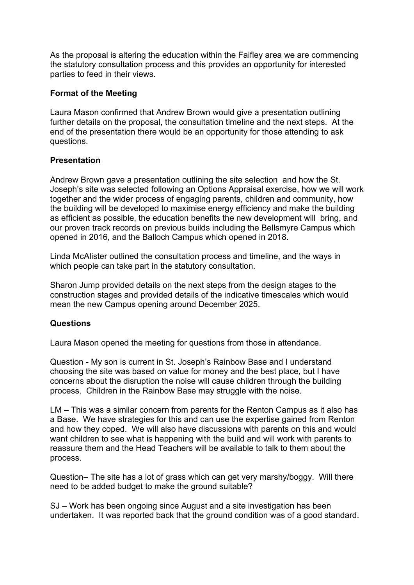As the proposal is altering the education within the Faifley area we are commencing the statutory consultation process and this provides an opportunity for interested parties to feed in their views.

### **Format of the Meeting**

Laura Mason confirmed that Andrew Brown would give a presentation outlining further details on the proposal, the consultation timeline and the next steps. At the end of the presentation there would be an opportunity for those attending to ask questions.

## **Presentation**

Andrew Brown gave a presentation outlining the site selection and how the St. Joseph's site was selected following an Options Appraisal exercise, how we will work together and the wider process of engaging parents, children and community, how the building will be developed to maximise energy efficiency and make the building as efficient as possible, the education benefits the new development will bring, and our proven track records on previous builds including the Bellsmyre Campus which opened in 2016, and the Balloch Campus which opened in 2018.

Linda McAlister outlined the consultation process and timeline, and the ways in which people can take part in the statutory consultation.

Sharon Jump provided details on the next steps from the design stages to the construction stages and provided details of the indicative timescales which would mean the new Campus opening around December 2025.

### **Questions**

Laura Mason opened the meeting for questions from those in attendance.

Question - My son is current in St. Joseph's Rainbow Base and I understand choosing the site was based on value for money and the best place, but I have concerns about the disruption the noise will cause children through the building process. Children in the Rainbow Base may struggle with the noise.

LM – This was a similar concern from parents for the Renton Campus as it also has a Base. We have strategies for this and can use the expertise gained from Renton and how they coped. We will also have discussions with parents on this and would want children to see what is happening with the build and will work with parents to reassure them and the Head Teachers will be available to talk to them about the process.

Question– The site has a lot of grass which can get very marshy/boggy. Will there need to be added budget to make the ground suitable?

SJ – Work has been ongoing since August and a site investigation has been undertaken. It was reported back that the ground condition was of a good standard.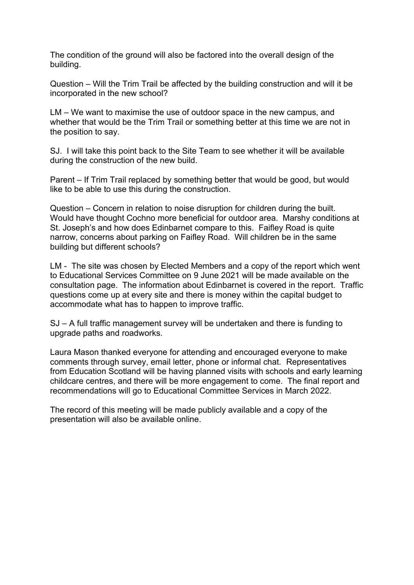The condition of the ground will also be factored into the overall design of the building.

Question – Will the Trim Trail be affected by the building construction and will it be incorporated in the new school?

LM – We want to maximise the use of outdoor space in the new campus, and whether that would be the Trim Trail or something better at this time we are not in the position to say.

SJ. I will take this point back to the Site Team to see whether it will be available during the construction of the new build.

Parent – If Trim Trail replaced by something better that would be good, but would like to be able to use this during the construction.

Question – Concern in relation to noise disruption for children during the built. Would have thought Cochno more beneficial for outdoor area. Marshy conditions at St. Joseph's and how does Edinbarnet compare to this. Faifley Road is quite narrow, concerns about parking on Faifley Road. Will children be in the same building but different schools?

LM - The site was chosen by Elected Members and a copy of the report which went to Educational Services Committee on 9 June 2021 will be made available on the consultation page. The information about Edinbarnet is covered in the report. Traffic questions come up at every site and there is money within the capital budget to accommodate what has to happen to improve traffic.

SJ – A full traffic management survey will be undertaken and there is funding to upgrade paths and roadworks.

Laura Mason thanked everyone for attending and encouraged everyone to make comments through survey, email letter, phone or informal chat. Representatives from Education Scotland will be having planned visits with schools and early learning childcare centres, and there will be more engagement to come. The final report and recommendations will go to Educational Committee Services in March 2022.

The record of this meeting will be made publicly available and a copy of the presentation will also be available online.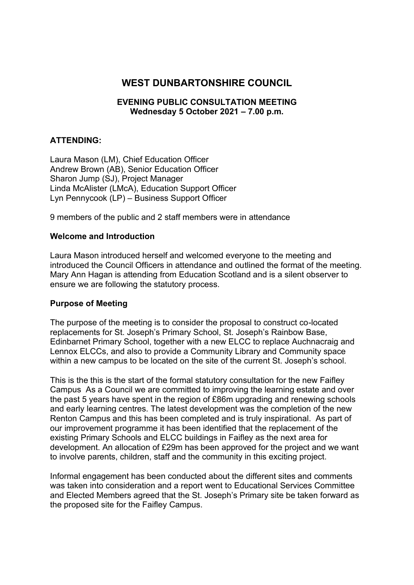# **WEST DUNBARTONSHIRE COUNCIL**

### **EVENING PUBLIC CONSULTATION MEETING Wednesday 5 October 2021 – 7.00 p.m.**

### **ATTENDING:**

Laura Mason (LM), Chief Education Officer Andrew Brown (AB), Senior Education Officer Sharon Jump (SJ), Project Manager Linda McAlister (LMcA), Education Support Officer Lyn Pennycook (LP) – Business Support Officer

9 members of the public and 2 staff members were in attendance

#### **Welcome and Introduction**

Laura Mason introduced herself and welcomed everyone to the meeting and introduced the Council Officers in attendance and outlined the format of the meeting. Mary Ann Hagan is attending from Education Scotland and is a silent observer to ensure we are following the statutory process.

### **Purpose of Meeting**

The purpose of the meeting is to consider the proposal to construct co-located replacements for St. Joseph's Primary School, St. Joseph's Rainbow Base, Edinbarnet Primary School, together with a new ELCC to replace Auchnacraig and Lennox ELCCs, and also to provide a Community Library and Community space within a new campus to be located on the site of the current St. Joseph's school.

This is the this is the start of the formal statutory consultation for the new Faifley Campus As a Council we are committed to improving the learning estate and over the past 5 years have spent in the region of £86m upgrading and renewing schools and early learning centres. The latest development was the completion of the new Renton Campus and this has been completed and is truly inspirational. As part of our improvement programme it has been identified that the replacement of the existing Primary Schools and ELCC buildings in Faifley as the next area for development. An allocation of £29m has been approved for the project and we want to involve parents, children, staff and the community in this exciting project.

Informal engagement has been conducted about the different sites and comments was taken into consideration and a report went to Educational Services Committee and Elected Members agreed that the St. Joseph's Primary site be taken forward as the proposed site for the Faifley Campus.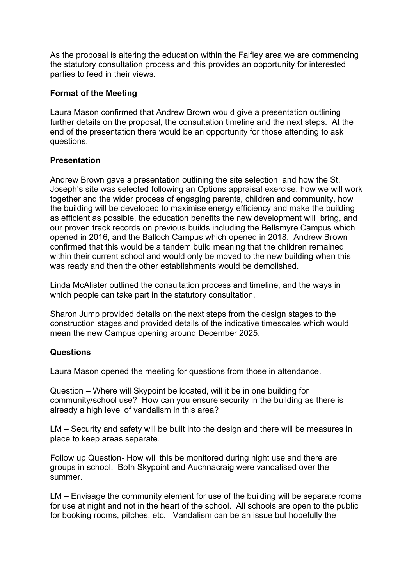As the proposal is altering the education within the Faifley area we are commencing the statutory consultation process and this provides an opportunity for interested parties to feed in their views.

### **Format of the Meeting**

Laura Mason confirmed that Andrew Brown would give a presentation outlining further details on the proposal, the consultation timeline and the next steps. At the end of the presentation there would be an opportunity for those attending to ask questions.

## **Presentation**

Andrew Brown gave a presentation outlining the site selection and how the St. Joseph's site was selected following an Options appraisal exercise, how we will work together and the wider process of engaging parents, children and community, how the building will be developed to maximise energy efficiency and make the building as efficient as possible, the education benefits the new development will bring, and our proven track records on previous builds including the Bellsmyre Campus which opened in 2016, and the Balloch Campus which opened in 2018. Andrew Brown confirmed that this would be a tandem build meaning that the children remained within their current school and would only be moved to the new building when this was ready and then the other establishments would be demolished.

Linda McAlister outlined the consultation process and timeline, and the ways in which people can take part in the statutory consultation.

Sharon Jump provided details on the next steps from the design stages to the construction stages and provided details of the indicative timescales which would mean the new Campus opening around December 2025.

### **Questions**

Laura Mason opened the meeting for questions from those in attendance.

Question – Where will Skypoint be located, will it be in one building for community/school use? How can you ensure security in the building as there is already a high level of vandalism in this area?

LM – Security and safety will be built into the design and there will be measures in place to keep areas separate.

Follow up Question- How will this be monitored during night use and there are groups in school. Both Skypoint and Auchnacraig were vandalised over the summer.

LM – Envisage the community element for use of the building will be separate rooms for use at night and not in the heart of the school. All schools are open to the public for booking rooms, pitches, etc. Vandalism can be an issue but hopefully the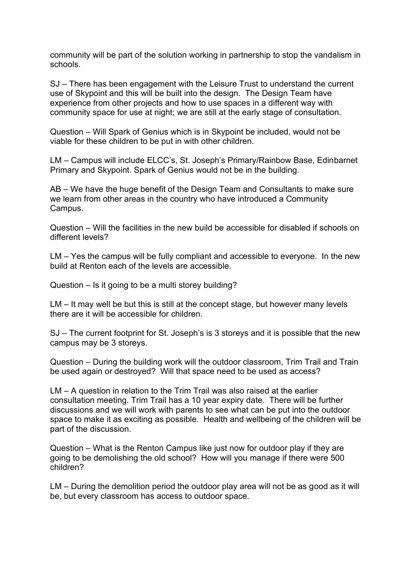community will be part of the solution working in partnership to stop the vandalism in schools.

SJ – There has been engagement with the Leisure Trust to understand the current use of Skypoint and this will be built into the design. The Design Team have experience from other projects and how to use spaces in a different way with community space for use at night; we are still at the early stage of consultation.

Question – Will Spark of Genius which is in Skypoint be included, would not be viable for these children to be put in with other children.

LM – Campus will include ELCC's, St. Joseph's Primary/Rainbow Base, Edinbarnet Primary and Skypoint. Spark of Genius would not be in the building.

AB – We have the huge benefit of the Design Team and Consultants to make sure we learn from other areas in the country who have introduced a Community Campus.

Question – Will the facilities in the new build be accessible for disabled if schools on different levels?

LM – Yes the campus will be fully compliant and accessible to everyone. In the new build at Renton each of the levels are accessible.

Question – Is it going to be a multi storey building?

LM – It may well be but this is still at the concept stage, but however many levels there are it will be accessible for children.

SJ – The current footprint for St. Joseph's is 3 storeys and it is possible that the new campus may be 3 storeys.

Question – During the building work will the outdoor classroom, Trim Trail and Train be used again or destroyed? Will that space need to be used as access?

LM – A question in relation to the Trim Trail was also raised at the earlier consultation meeting. Trim Trail has a 10 year expiry date. There will be further discussions and we will work with parents to see what can be put into the outdoor space to make it as exciting as possible. Health and wellbeing of the children will be part of the discussion.

Question – What is the Renton Campus like just now for outdoor play if they are going to be demolishing the old school? How will you manage if there were 500 children?

LM – During the demolition period the outdoor play area will not be as good as it will be, but every classroom has access to outdoor space.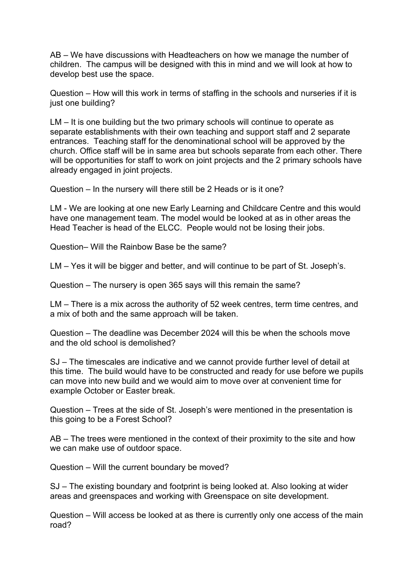AB – We have discussions with Headteachers on how we manage the number of children. The campus will be designed with this in mind and we will look at how to develop best use the space.

Question – How will this work in terms of staffing in the schools and nurseries if it is just one building?

LM – It is one building but the two primary schools will continue to operate as separate establishments with their own teaching and support staff and 2 separate entrances. Teaching staff for the denominational school will be approved by the church. Office staff will be in same area but schools separate from each other. There will be opportunities for staff to work on joint projects and the 2 primary schools have already engaged in joint projects.

Question – In the nursery will there still be 2 Heads or is it one?

LM - We are looking at one new Early Learning and Childcare Centre and this would have one management team. The model would be looked at as in other areas the Head Teacher is head of the ELCC. People would not be losing their jobs.

Question– Will the Rainbow Base be the same?

LM – Yes it will be bigger and better, and will continue to be part of St. Joseph's.

Question – The nursery is open 365 says will this remain the same?

LM – There is a mix across the authority of 52 week centres, term time centres, and a mix of both and the same approach will be taken.

Question – The deadline was December 2024 will this be when the schools move and the old school is demolished?

SJ – The timescales are indicative and we cannot provide further level of detail at this time. The build would have to be constructed and ready for use before we pupils can move into new build and we would aim to move over at convenient time for example October or Easter break.

Question – Trees at the side of St. Joseph's were mentioned in the presentation is this going to be a Forest School?

AB – The trees were mentioned in the context of their proximity to the site and how we can make use of outdoor space.

Question – Will the current boundary be moved?

SJ – The existing boundary and footprint is being looked at. Also looking at wider areas and greenspaces and working with Greenspace on site development.

Question – Will access be looked at as there is currently only one access of the main road?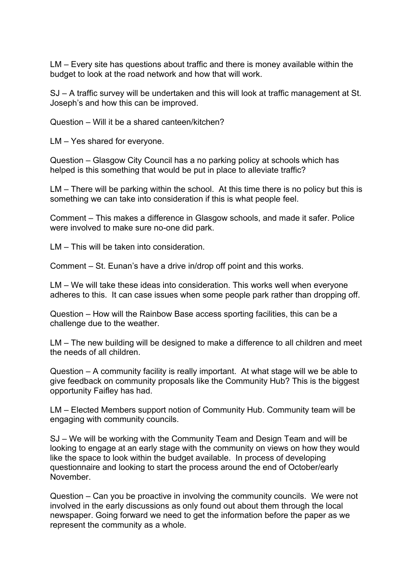LM – Every site has questions about traffic and there is money available within the budget to look at the road network and how that will work.

SJ – A traffic survey will be undertaken and this will look at traffic management at St. Joseph's and how this can be improved.

Question – Will it be a shared canteen/kitchen?

LM – Yes shared for everyone.

Question – Glasgow City Council has a no parking policy at schools which has helped is this something that would be put in place to alleviate traffic?

LM – There will be parking within the school. At this time there is no policy but this is something we can take into consideration if this is what people feel.

Comment – This makes a difference in Glasgow schools, and made it safer. Police were involved to make sure no-one did park.

LM – This will be taken into consideration.

Comment – St. Eunan's have a drive in/drop off point and this works.

LM – We will take these ideas into consideration. This works well when everyone adheres to this. It can case issues when some people park rather than dropping off.

Question – How will the Rainbow Base access sporting facilities, this can be a challenge due to the weather.

LM – The new building will be designed to make a difference to all children and meet the needs of all children.

Question – A community facility is really important. At what stage will we be able to give feedback on community proposals like the Community Hub? This is the biggest opportunity Faifley has had.

LM – Elected Members support notion of Community Hub. Community team will be engaging with community councils.

SJ – We will be working with the Community Team and Design Team and will be looking to engage at an early stage with the community on views on how they would like the space to look within the budget available. In process of developing questionnaire and looking to start the process around the end of October/early November.

Question – Can you be proactive in involving the community councils. We were not involved in the early discussions as only found out about them through the local newspaper. Going forward we need to get the information before the paper as we represent the community as a whole.